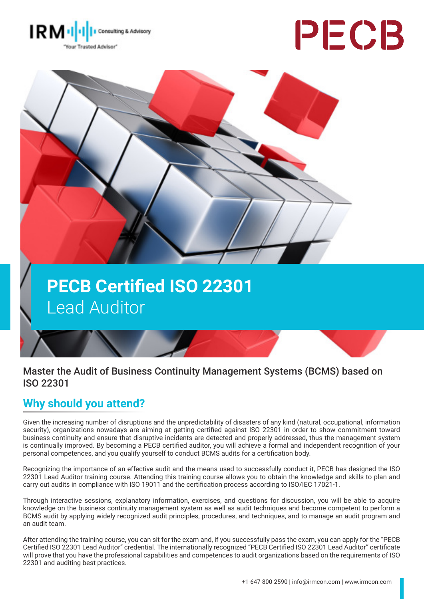

# PECB



## **PECB Certified ISO 22301**  Lead Auditor



#### Master the Audit of Business Continuity Management Systems (BCMS) based on ISO 22301

#### **Why should you attend?**

Given the increasing number of disruptions and the unpredictability of disasters of any kind (natural, occupational, information security), organizations nowadays are aiming at getting certified against ISO 22301 in order to show commitment toward business continuity and ensure that disruptive incidents are detected and properly addressed, thus the management system is continually improved. By becoming a PECB certified auditor, you will achieve a formal and independent recognition of your personal competences, and you qualify yourself to conduct BCMS audits for a certification body.

Recognizing the importance of an effective audit and the means used to successfully conduct it, PECB has designed the ISO 22301 Lead Auditor training course. Attending this training course allows you to obtain the knowledge and skills to plan and carry out audits in compliance with ISO 19011 and the certification process according to ISO/IEC 17021-1.

Through interactive sessions, explanatory information, exercises, and questions for discussion, you will be able to acquire knowledge on the business continuity management system as well as audit techniques and become competent to perform a BCMS audit by applying widely recognized audit principles, procedures, and techniques, and to manage an audit program and an audit team.

After attending the training course, you can sit for the exam and, if you successfully pass the exam, you can apply for the "PECB Certified ISO 22301 Lead Auditor" credential. The internationally recognized "PECB Certified ISO 22301 Lead Auditor" certificate will prove that you have the professional capabilities and competences to audit organizations based on the requirements of ISO 22301 and auditing best practices.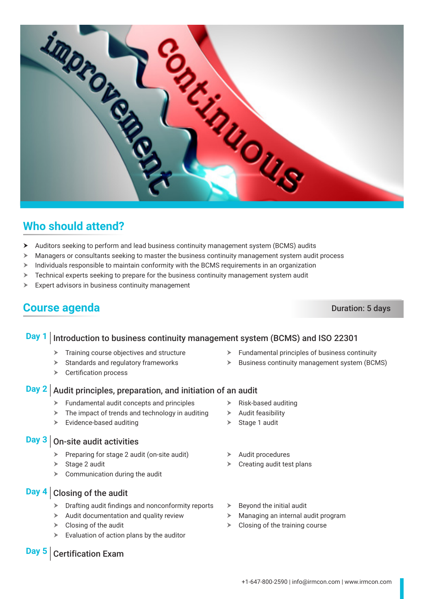

#### **Who should attend?**

- $\blacktriangleright$  Auditors seeking to perform and lead business continuity management system (BCMS) audits
- $\triangleright$  Managers or consultants seeking to master the business continuity management system audit process
- $\triangleright$  Individuals responsible to maintain conformity with the BCMS requirements in an organization
- $\triangleright$  Technical experts seeking to prepare for the business continuity management system audit
- Expert advisors in business continuity management

#### **Course agenda** Duration: 5 days

#### **Day 1** | Introduction to business continuity management system (BCMS) and ISO 22301

- $\triangleright$  Training course objectives and structure
- $\triangleright$  Standards and regulatory frameworks
- $\triangleright$  Certification process

#### **Day 2** | Audit principles, preparation, and initiation of an audit

- $\blacktriangleright$  Fundamental audit concepts and principles
- $\triangleright$  The impact of trends and technology in auditing
- $\triangleright$  Evidence-based auditing

#### **Day 3** On-site audit activities

- $\triangleright$  Preparing for stage 2 audit (on-site audit)
- $\triangleright$  Stage 2 audit
- $\blacktriangleright$  Communication during the audit

#### **Day 4** Closing of the audit

- $\triangleright$  Drafting audit findings and nonconformity reports
- $\blacktriangleright$  Audit documentation and quality review
- $\triangleright$  Closing of the audit
- $\triangleright$  Evaluation of action plans by the auditor
- 

 $\triangleright$  Risk-based auditing  $\blacktriangleright$  Audit feasibility  $\triangleright$  Stage 1 audit

 $\blacktriangleright$  Audit procedures

 $\triangleright$  Beyond the initial audit

 $\triangleright$  Creating audit test plans

 $\blacktriangleright$  Managing an internal audit program

 $\triangleright$  Fundamental principles of business continuity  $\triangleright$  Business continuity management system (BCMS)

 $\triangleright$  Closing of the training course

#### **Day 5** Certification Exam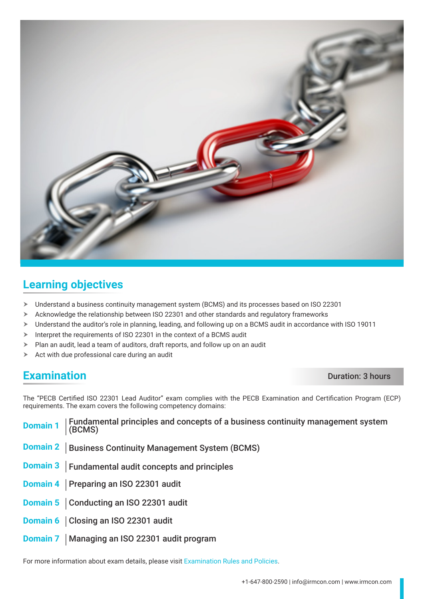

#### **Learning objectives**

- > Understand a business continuity management system (BCMS) and its processes based on ISO 22301
- $\triangleright$  Acknowledge the relationship between ISO 22301 and other standards and regulatory frameworks
- $\triangleright$  Understand the auditor's role in planning, leading, and following up on a BCMS audit in accordance with ISO 19011
- $\triangleright$  Interpret the requirements of ISO 22301 in the context of a BCMS audit
- $\triangleright$  Plan an audit, lead a team of auditors, draft reports, and follow up on an audit
- $\triangleright$  Act with due professional care during an audit

#### **Examination** Duration: 3 hours

The "PECB Certified ISO 22301 Lead Auditor" exam complies with the PECB Examination and Certification Program (ECP) requirements. The exam covers the following competency domains:

| <b>Domain 1</b>   Fundamental principles and concepts of a business continuity management system $ $ (BCMS) |
|-------------------------------------------------------------------------------------------------------------|
| <b>Domain 2</b>   Business Continuity Management System (BCMS)                                              |
| Domain 3   Fundamental audit concepts and principles                                                        |
| Domain 4   Preparing an ISO 22301 audit                                                                     |
| Domain 5 Conducting an ISO 22301 audit                                                                      |
| Domain 6   Closing an ISO 22301 audit                                                                       |
| Domain 7   Managing an ISO 22301 audit program                                                              |

For more information about exam details, please visit [Examination Rules and Policies](https://pecb.com/en/examination-rules-and-policies).